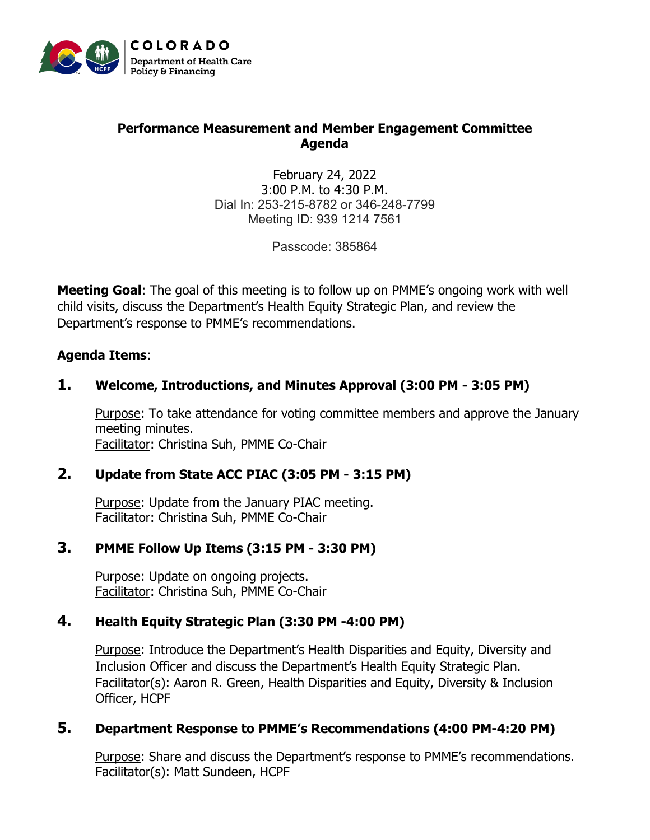

# **Performance Measurement and Member Engagement Committee Agenda**

February 24, 2022 3:00 P.M. to 4:30 P.M. Dial In: 253-215-8782 or 346-248-7799 Meeting ID: 939 1214 7561

Passcode: 385864

**Meeting Goal**: The goal of this meeting is to follow up on PMME's ongoing work with well child visits, discuss the Department's Health Equity Strategic Plan, and review the Department's response to PMME's recommendations.

#### **Agenda Items**:

# **1. Welcome, Introductions, and Minutes Approval (3:00 PM - 3:05 PM)**

Purpose: To take attendance for voting committee members and approve the January meeting minutes. Facilitator: Christina Suh, PMME Co-Chair

#### **2. Update from State ACC PIAC (3:05 PM - 3:15 PM)**

Purpose: Update from the January PIAC meeting. Facilitator: Christina Suh, PMME Co-Chair

#### **3. PMME Follow Up Items (3:15 PM - 3:30 PM)**

Purpose: Update on ongoing projects. Facilitator: Christina Suh, PMME Co-Chair

# **4. Health Equity Strategic Plan (3:30 PM -4:00 PM)**

Purpose: Introduce the Department's Health Disparities and Equity, Diversity and Inclusion Officer and discuss the Department's Health Equity Strategic Plan. Facilitator(s): Aaron R. Green, Health Disparities and Equity, Diversity & Inclusion Officer, HCPF

#### **5. Department Response to PMME's Recommendations (4:00 PM-4:20 PM)**

Purpose: Share and discuss the Department's response to PMME's recommendations. Facilitator(s): Matt Sundeen, HCPF